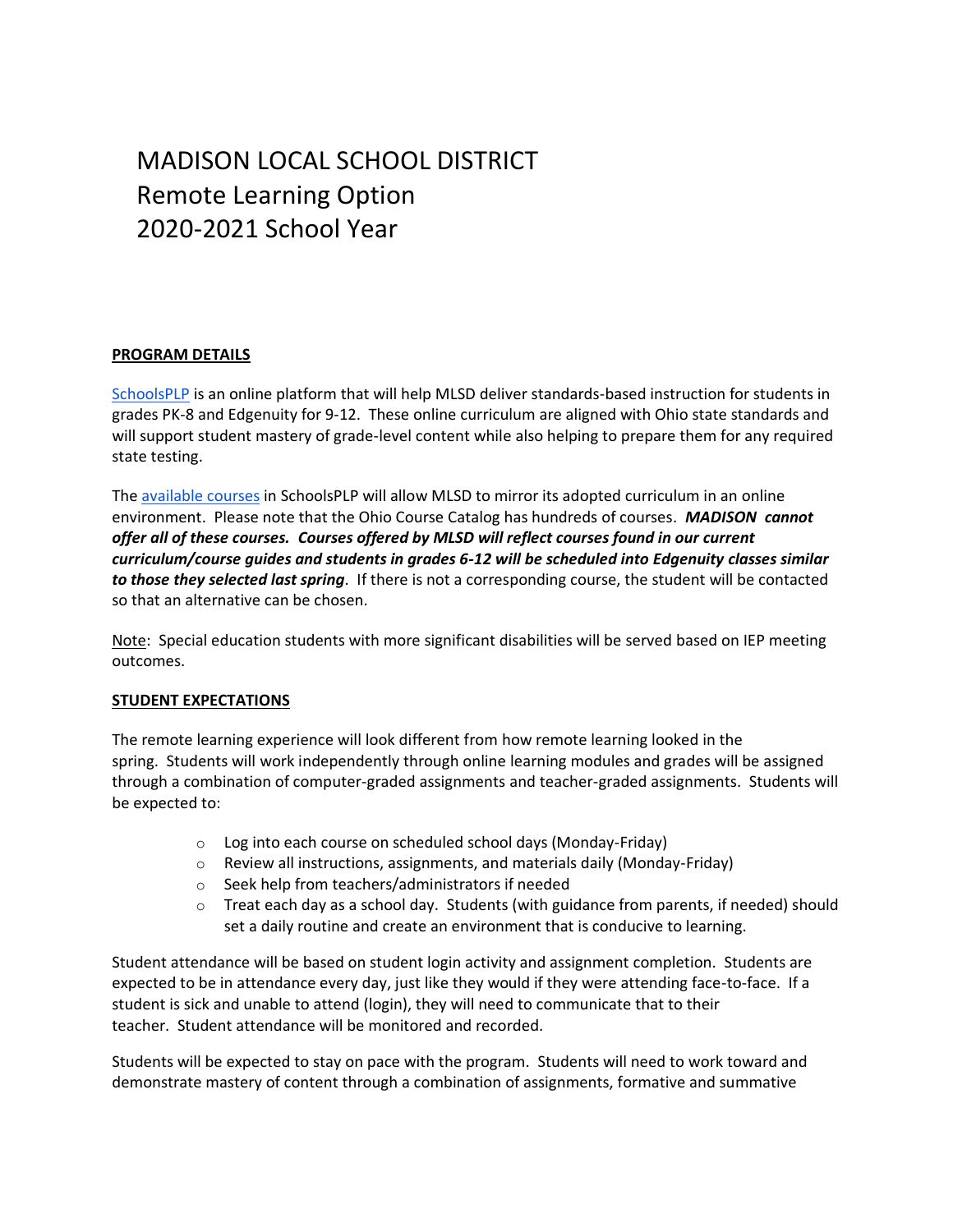# MADISON LOCAL SCHOOL DISTRICT Remote Learning Option 2020-2021 School Year

#### **PROGRAM DETAILS**

[SchoolsPLP](https://schoolsplp.com/) is an online platform that will help MLSD deliver standards-based instruction for students in grades PK-8 and Edgenuity for 9-12. These online curriculum are aligned with Ohio state standards and will support student mastery of grade-level content while also helping to prepare them for any required state testing.

The [available courses](https://schoolsplp.com/course-listing/?state=ohio) in SchoolsPLP will allow MLSD to mirror its adopted curriculum in an online environment. Please note that the Ohio Course Catalog has hundreds of courses. *MADISON cannot offer all of these courses. Courses offered by MLSD will reflect courses found in our current curriculum/course guides and students in grades 6-12 will be scheduled into Edgenuity classes similar to those they selected last spring*. If there is not a corresponding course, the student will be contacted so that an alternative can be chosen.

Note: Special education students with more significant disabilities will be served based on IEP meeting outcomes.

## **STUDENT EXPECTATIONS**

The remote learning experience will look different from how remote learning looked in the spring. Students will work independently through online learning modules and grades will be assigned through a combination of computer-graded assignments and teacher-graded assignments. Students will be expected to:

- o Log into each course on scheduled school days (Monday-Friday)
- o Review all instructions, assignments, and materials daily (Monday-Friday)
- o Seek help from teachers/administrators if needed
- $\circ$  Treat each day as a school day. Students (with guidance from parents, if needed) should set a daily routine and create an environment that is conducive to learning.

Student attendance will be based on student login activity and assignment completion. Students are expected to be in attendance every day, just like they would if they were attending face-to-face. If a student is sick and unable to attend (login), they will need to communicate that to their teacher. Student attendance will be monitored and recorded.

Students will be expected to stay on pace with the program. Students will need to work toward and demonstrate mastery of content through a combination of assignments, formative and summative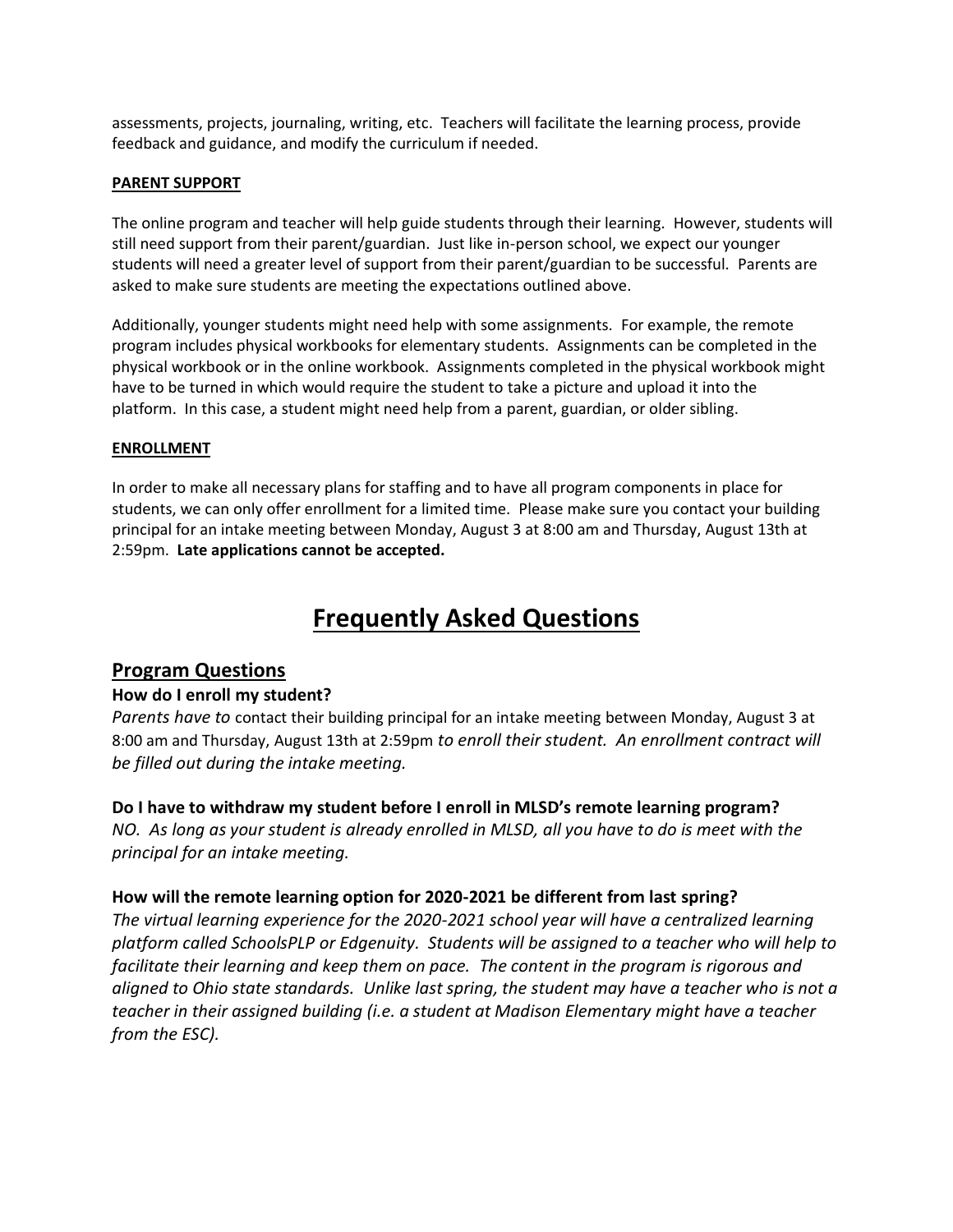assessments, projects, journaling, writing, etc. Teachers will facilitate the learning process, provide feedback and guidance, and modify the curriculum if needed.

#### **PARENT SUPPORT**

The online program and teacher will help guide students through their learning. However, students will still need support from their parent/guardian. Just like in-person school, we expect our younger students will need a greater level of support from their parent/guardian to be successful. Parents are asked to make sure students are meeting the expectations outlined above.

Additionally, younger students might need help with some assignments. For example, the remote program includes physical workbooks for elementary students. Assignments can be completed in the physical workbook or in the online workbook. Assignments completed in the physical workbook might have to be turned in which would require the student to take a picture and upload it into the platform. In this case, a student might need help from a parent, guardian, or older sibling.

#### **ENROLLMENT**

In order to make all necessary plans for staffing and to have all program components in place for students, we can only offer enrollment for a limited time. Please make sure you contact your building principal for an intake meeting between Monday, August 3 at 8:00 am and Thursday, August 13th at 2:59pm. **Late applications cannot be accepted.**

# **Frequently Asked Questions**

## **Program Questions**

## **How do I enroll my student?**

*Parents have to* contact their building principal for an intake meeting between Monday, August 3 at 8:00 am and Thursday, August 13th at 2:59pm *to enroll their student. An enrollment contract will be filled out during the intake meeting.*

## **Do I have to withdraw my student before I enroll in MLSD's remote learning program?**

*NO. As long as your student is already enrolled in MLSD, all you have to do is meet with the principal for an intake meeting.*

## **How will the remote learning option for 2020-2021 be different from last spring?**

*The virtual learning experience for the 2020-2021 school year will have a centralized learning platform called SchoolsPLP or Edgenuity. Students will be assigned to a teacher who will help to facilitate their learning and keep them on pace. The content in the program is rigorous and aligned to Ohio state standards. Unlike last spring, the student may have a teacher who is not a teacher in their assigned building (i.e. a student at Madison Elementary might have a teacher from the ESC).*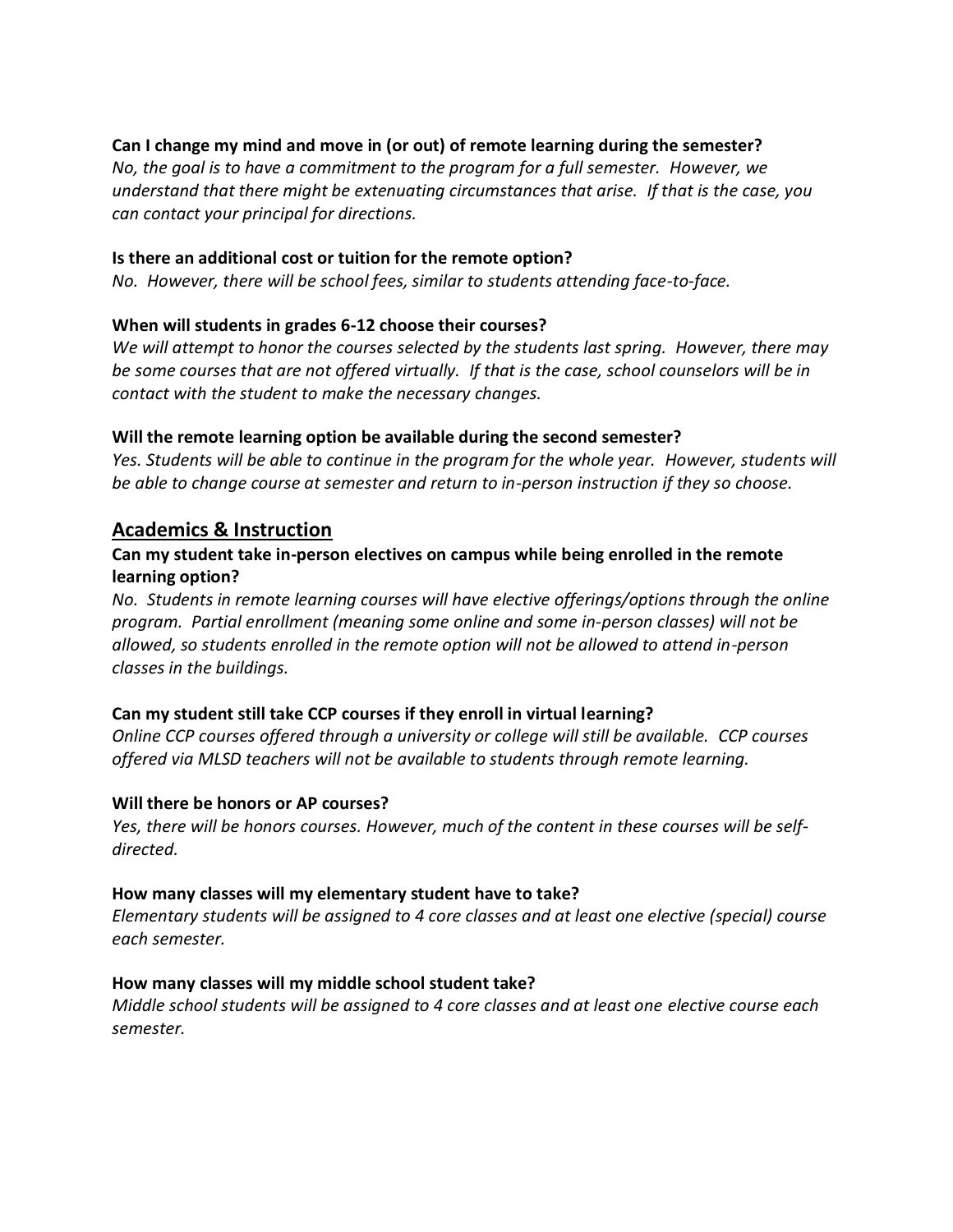## **Can I change my mind and move in (or out) of remote learning during the semester?**

*No, the goal is to have a commitment to the program for a full semester. However, we understand that there might be extenuating circumstances that arise. If that is the case, you can contact your principal for directions.*

#### **Is there an additional cost or tuition for the remote option?**

*No. However, there will be school fees, similar to students attending face-to-face.*

## **When will students in grades 6-12 choose their courses?**

*We will attempt to honor the courses selected by the students last spring. However, there may be some courses that are not offered virtually. If that is the case, school counselors will be in contact with the student to make the necessary changes.* 

#### **Will the remote learning option be available during the second semester?**

*Yes. Students will be able to continue in the program for the whole year. However, students will be able to change course at semester and return to in-person instruction if they so choose.* 

## **Academics & Instruction**

## **Can my student take in-person electives on campus while being enrolled in the remote learning option?**

*No. Students in remote learning courses will have elective offerings/options through the online program. Partial enrollment (meaning some online and some in-person classes) will not be allowed, so students enrolled in the remote option will not be allowed to attend in-person classes in the buildings.* 

## **Can my student still take CCP courses if they enroll in virtual learning?**

*Online CCP courses offered through a university or college will still be available. CCP courses offered via MLSD teachers will not be available to students through remote learning.* 

#### **Will there be honors or AP courses?**

*Yes, there will be honors courses. However, much of the content in these courses will be selfdirected.*

#### **How many classes will my elementary student have to take?**

*Elementary students will be assigned to 4 core classes and at least one elective (special) course each semester.* 

#### **How many classes will my middle school student take?**

*Middle school students will be assigned to 4 core classes and at least one elective course each semester.*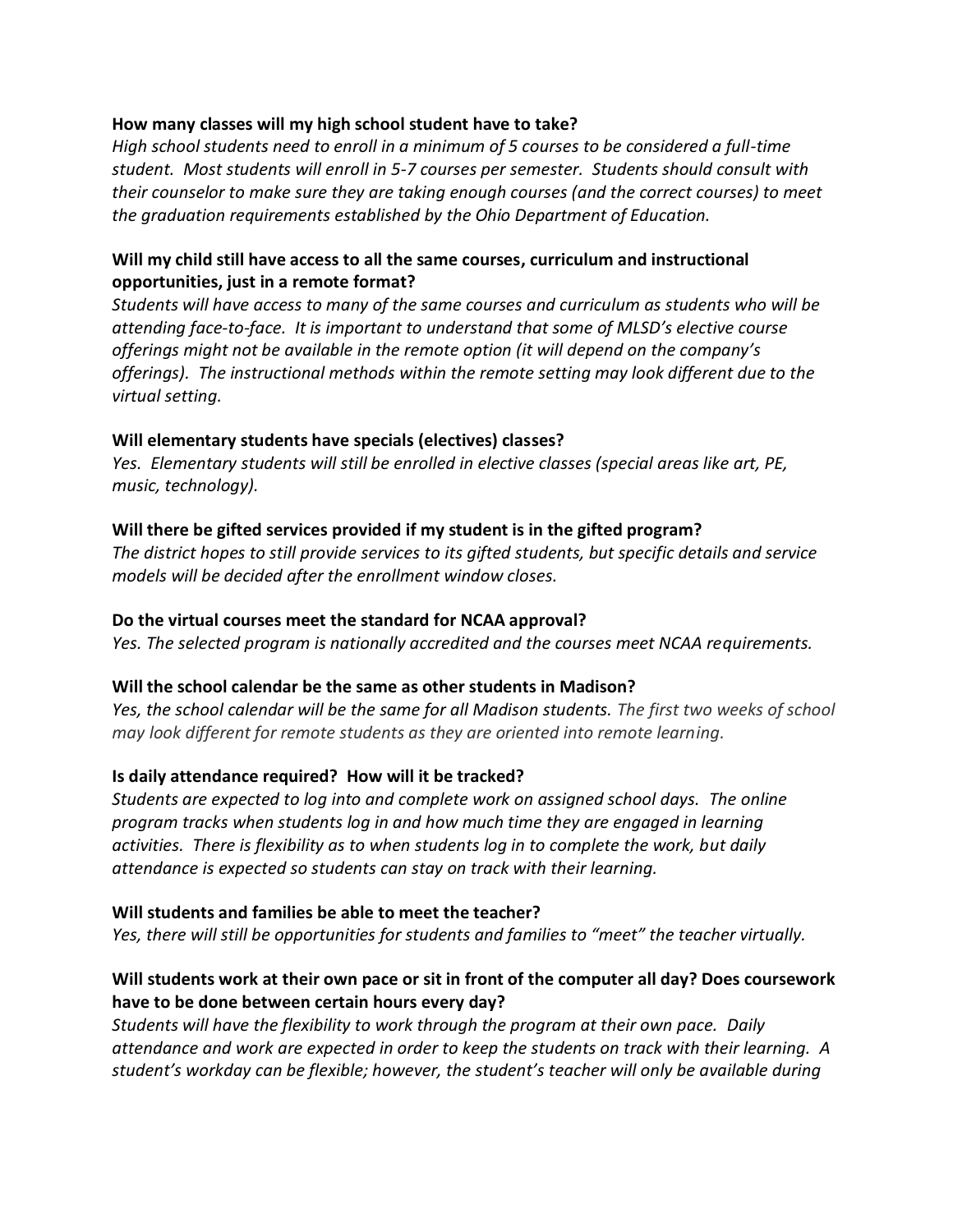## **How many classes will my high school student have to take?**

*High school students need to enroll in a minimum of 5 courses to be considered a full-time student. Most students will enroll in 5-7 courses per semester. Students should consult with their counselor to make sure they are taking enough courses (and the correct courses) to meet the graduation requirements established by the Ohio Department of Education.*

## **Will my child still have access to all the same courses, curriculum and instructional opportunities, just in a remote format?**

*Students will have access to many of the same courses and curriculum as students who will be attending face-to-face. It is important to understand that some of MLSD's elective course offerings might not be available in the remote option (it will depend on the company's offerings). The instructional methods within the remote setting may look different due to the virtual setting.*

## **Will elementary students have specials (electives) classes?**

*Yes. Elementary students will still be enrolled in elective classes (special areas like art, PE, music, technology).* 

## **Will there be gifted services provided if my student is in the gifted program?**

*The district hopes to still provide services to its gifted students, but specific details and service models will be decided after the enrollment window closes.*

## **Do the virtual courses meet the standard for NCAA approval?**

*Yes. The selected program is nationally accredited and the courses meet NCAA requirements.*

## **Will the school calendar be the same as other students in Madison?**

Yes, the school calendar will be the same for all Madison students. The first two weeks of school *may look different for remote students as they are oriented into remote learning.*

## **Is daily attendance required? How will it be tracked?**

*Students are expected to log into and complete work on assigned school days. The online program tracks when students log in and how much time they are engaged in learning activities. There is flexibility as to when students log in to complete the work, but daily attendance is expected so students can stay on track with their learning.* 

## **Will students and families be able to meet the teacher?**

*Yes, there will still be opportunities for students and families to "meet" the teacher virtually.*

## **Will students work at their own pace or sit in front of the computer all day? Does coursework have to be done between certain hours every day?**

*Students will have the flexibility to work through the program at their own pace. Daily attendance and work are expected in order to keep the students on track with their learning. A student's workday can be flexible; however, the student's teacher will only be available during*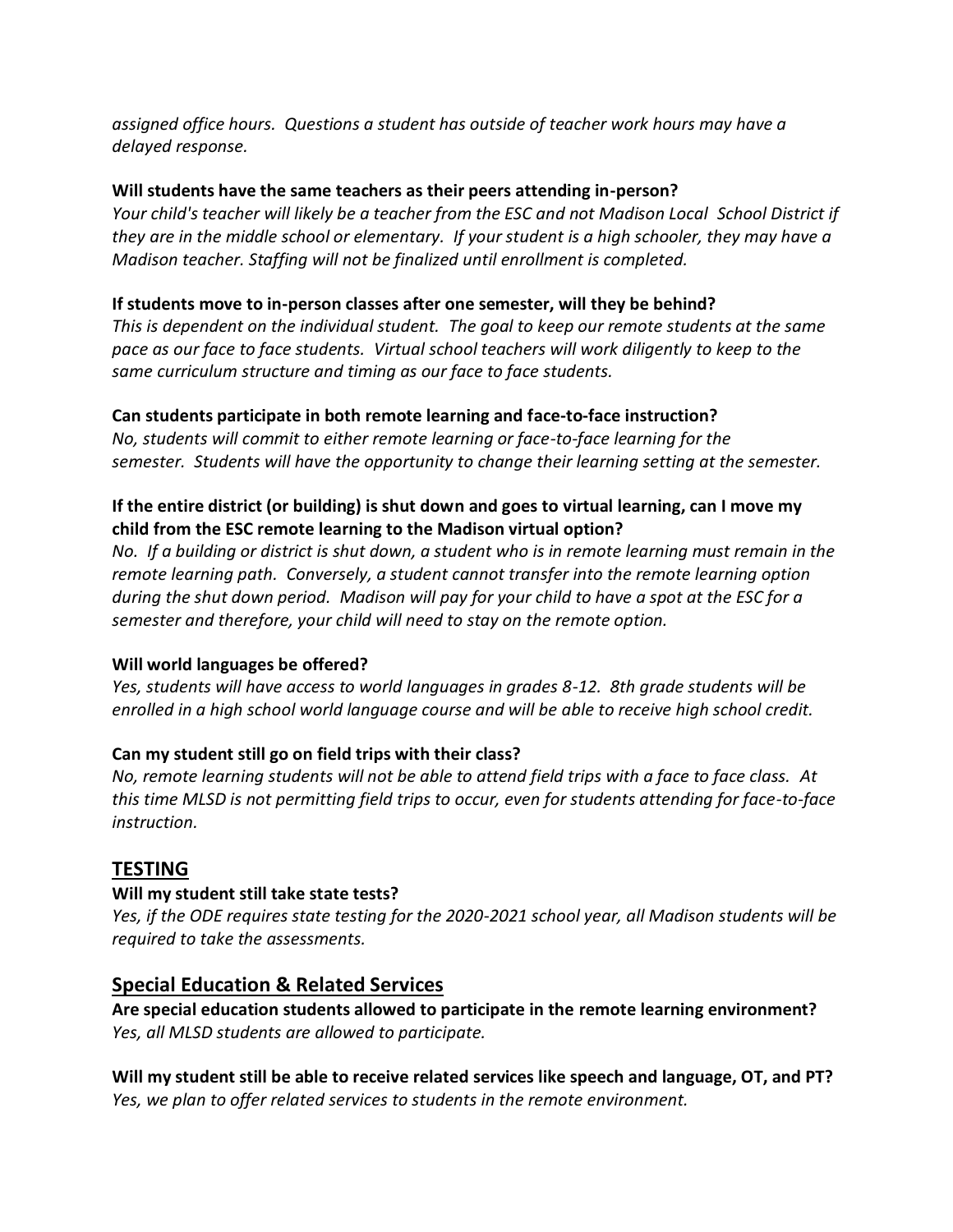*assigned office hours. Questions a student has outside of teacher work hours may have a delayed response.* 

## **Will students have the same teachers as their peers attending in-person?**

*Your child's teacher will likely be a teacher from the ESC and not Madison Local School District if they are in the middle school or elementary. If your student is a high schooler, they may have a Madison teacher. Staffing will not be finalized until enrollment is completed.*

## **If students move to in-person classes after one semester, will they be behind?**

*This is dependent on the individual student. The goal to keep our remote students at the same pace as our face to face students. Virtual school teachers will work diligently to keep to the same curriculum structure and timing as our face to face students.*

## **Can students participate in both remote learning and face-to-face instruction?**

*No, students will commit to either remote learning or face-to-face learning for the semester. Students will have the opportunity to change their learning setting at the semester.*

## **If the entire district (or building) is shut down and goes to virtual learning, can I move my child from the ESC remote learning to the Madison virtual option?**

*No. If a building or district is shut down, a student who is in remote learning must remain in the remote learning path. Conversely, a student cannot transfer into the remote learning option during the shut down period. Madison will pay for your child to have a spot at the ESC for a semester and therefore, your child will need to stay on the remote option.* 

# **Will world languages be offered?**

*Yes, students will have access to world languages in grades 8-12. 8th grade students will be enrolled in a high school world language course and will be able to receive high school credit.*

# **Can my student still go on field trips with their class?**

*No, remote learning students will not be able to attend field trips with a face to face class. At this time MLSD is not permitting field trips to occur, even for students attending for face-to-face instruction.* 

# **TESTING**

## **Will my student still take state tests?**

*Yes, if the ODE requires state testing for the 2020-2021 school year, all Madison students will be required to take the assessments.*

# **Special Education & Related Services**

**Are special education students allowed to participate in the remote learning environment?** *Yes, all MLSD students are allowed to participate.*

**Will my student still be able to receive related services like speech and language, OT, and PT?** *Yes, we plan to offer related services to students in the remote environment.*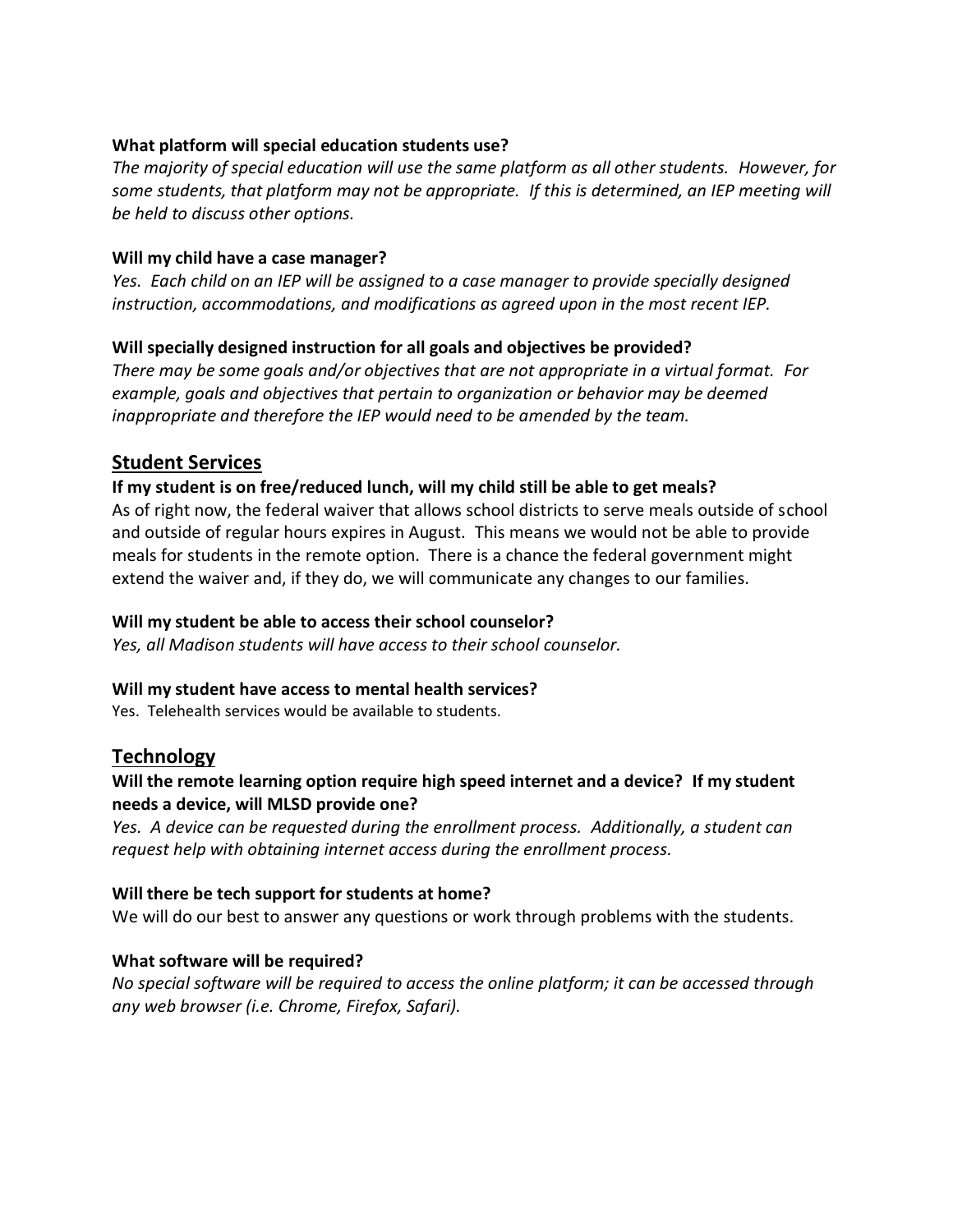## **What platform will special education students use?**

*The majority of special education will use the same platform as all other students. However, for some students, that platform may not be appropriate. If this is determined, an IEP meeting will be held to discuss other options.*

## **Will my child have a case manager?**

*Yes. Each child on an IEP will be assigned to a case manager to provide specially designed instruction, accommodations, and modifications as agreed upon in the most recent IEP.* 

## **Will specially designed instruction for all goals and objectives be provided?**

*There may be some goals and/or objectives that are not appropriate in a virtual format. For example, goals and objectives that pertain to organization or behavior may be deemed inappropriate and therefore the IEP would need to be amended by the team.*

## **Student Services**

## **If my student is on free/reduced lunch, will my child still be able to get meals?**

As of right now, the federal waiver that allows school districts to serve meals outside of school and outside of regular hours expires in August. This means we would not be able to provide meals for students in the remote option. There is a chance the federal government might extend the waiver and, if they do, we will communicate any changes to our families.

## **Will my student be able to access their school counselor?**

*Yes, all Madison students will have access to their school counselor.*

## **Will my student have access to mental health services?**

Yes. Telehealth services would be available to students.

## **Technology**

## **Will the remote learning option require high speed internet and a device? If my student needs a device, will MLSD provide one?**

*Yes. A device can be requested during the enrollment process. Additionally, a student can request help with obtaining internet access during the enrollment process.* 

## **Will there be tech support for students at home?**

We will do our best to answer any questions or work through problems with the students.

## **What software will be required?**

*No special software will be required to access the online platform; it can be accessed through any web browser (i.e. Chrome, Firefox, Safari).*